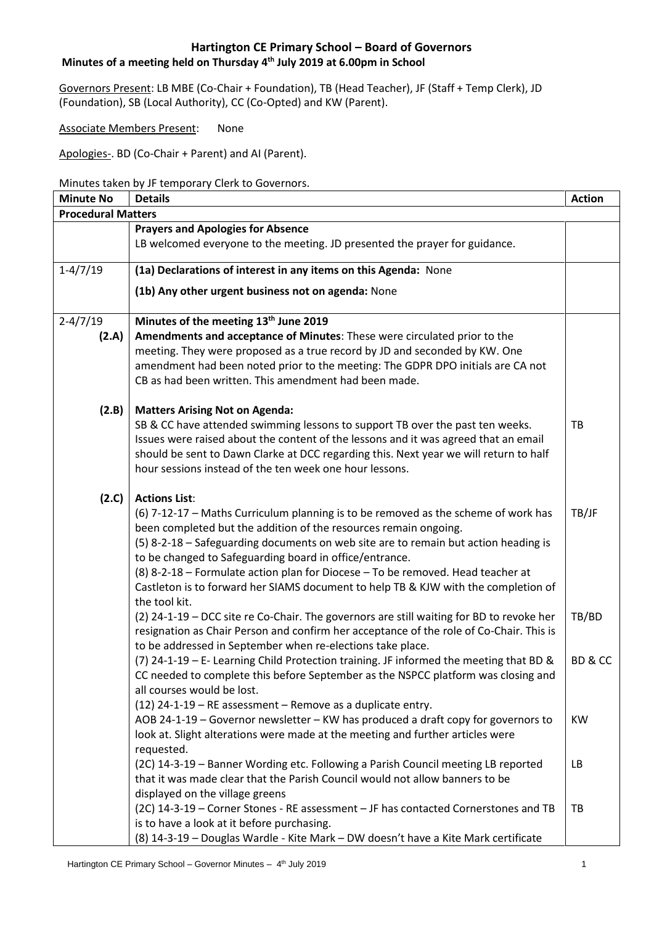#### **Minutes of a meeting held on Thursday 4 th July 2019 at 6.00pm in School**

Governors Present: LB MBE (Co-Chair + Foundation), TB (Head Teacher), JF (Staff + Temp Clerk), JD (Foundation), SB (Local Authority), CC (Co-Opted) and KW (Parent).

Associate Members Present: None

Apologies-. BD (Co-Chair + Parent) and AI (Parent).

#### Minutes taken by JF temporary Clerk to Governors.

| <b>Minute No</b>          | <b>Details</b>                                                                                                                                                                      | <b>Action</b> |
|---------------------------|-------------------------------------------------------------------------------------------------------------------------------------------------------------------------------------|---------------|
| <b>Procedural Matters</b> |                                                                                                                                                                                     |               |
|                           | <b>Prayers and Apologies for Absence</b>                                                                                                                                            |               |
|                           | LB welcomed everyone to the meeting. JD presented the prayer for guidance.                                                                                                          |               |
| $1-4/7/19$                | (1a) Declarations of interest in any items on this Agenda: None                                                                                                                     |               |
|                           | (1b) Any other urgent business not on agenda: None                                                                                                                                  |               |
| $2 - 4/7/19$              | Minutes of the meeting 13th June 2019                                                                                                                                               |               |
| (2.A)                     | Amendments and acceptance of Minutes: These were circulated prior to the                                                                                                            |               |
|                           | meeting. They were proposed as a true record by JD and seconded by KW. One                                                                                                          |               |
|                           | amendment had been noted prior to the meeting: The GDPR DPO initials are CA not                                                                                                     |               |
|                           | CB as had been written. This amendment had been made.                                                                                                                               |               |
| (2.B)                     | <b>Matters Arising Not on Agenda:</b>                                                                                                                                               |               |
|                           | SB & CC have attended swimming lessons to support TB over the past ten weeks.                                                                                                       | TB            |
|                           | Issues were raised about the content of the lessons and it was agreed that an email                                                                                                 |               |
|                           | should be sent to Dawn Clarke at DCC regarding this. Next year we will return to half                                                                                               |               |
|                           | hour sessions instead of the ten week one hour lessons.                                                                                                                             |               |
| (2.C)                     | <b>Actions List:</b>                                                                                                                                                                |               |
|                           | (6) 7-12-17 - Maths Curriculum planning is to be removed as the scheme of work has                                                                                                  | TB/JF         |
|                           | been completed but the addition of the resources remain ongoing.                                                                                                                    |               |
|                           | (5) 8-2-18 - Safeguarding documents on web site are to remain but action heading is                                                                                                 |               |
|                           | to be changed to Safeguarding board in office/entrance.                                                                                                                             |               |
|                           | (8) 8-2-18 - Formulate action plan for Diocese - To be removed. Head teacher at                                                                                                     |               |
|                           | Castleton is to forward her SIAMS document to help TB & KJW with the completion of                                                                                                  |               |
|                           | the tool kit.                                                                                                                                                                       | TB/BD         |
|                           | (2) 24-1-19 - DCC site re Co-Chair. The governors are still waiting for BD to revoke her<br>resignation as Chair Person and confirm her acceptance of the role of Co-Chair. This is |               |
|                           | to be addressed in September when re-elections take place.                                                                                                                          |               |
|                           | (7) 24-1-19 - E- Learning Child Protection training. JF informed the meeting that BD &                                                                                              | BD & CC       |
|                           | CC needed to complete this before September as the NSPCC platform was closing and                                                                                                   |               |
|                           | all courses would be lost.                                                                                                                                                          |               |
|                           | (12) 24-1-19 – RE assessment – Remove as a duplicate entry.                                                                                                                         |               |
|                           | AOB 24-1-19 - Governor newsletter - KW has produced a draft copy for governors to                                                                                                   | <b>KW</b>     |
|                           | look at. Slight alterations were made at the meeting and further articles were                                                                                                      |               |
|                           | requested.                                                                                                                                                                          |               |
|                           | (2C) 14-3-19 - Banner Wording etc. Following a Parish Council meeting LB reported                                                                                                   | LB            |
|                           | that it was made clear that the Parish Council would not allow banners to be                                                                                                        |               |
|                           | displayed on the village greens                                                                                                                                                     |               |
|                           | (2C) 14-3-19 - Corner Stones - RE assessment - JF has contacted Cornerstones and TB                                                                                                 | TB            |
|                           | is to have a look at it before purchasing.                                                                                                                                          |               |
|                           | (8) 14-3-19 - Douglas Wardle - Kite Mark - DW doesn't have a Kite Mark certificate                                                                                                  |               |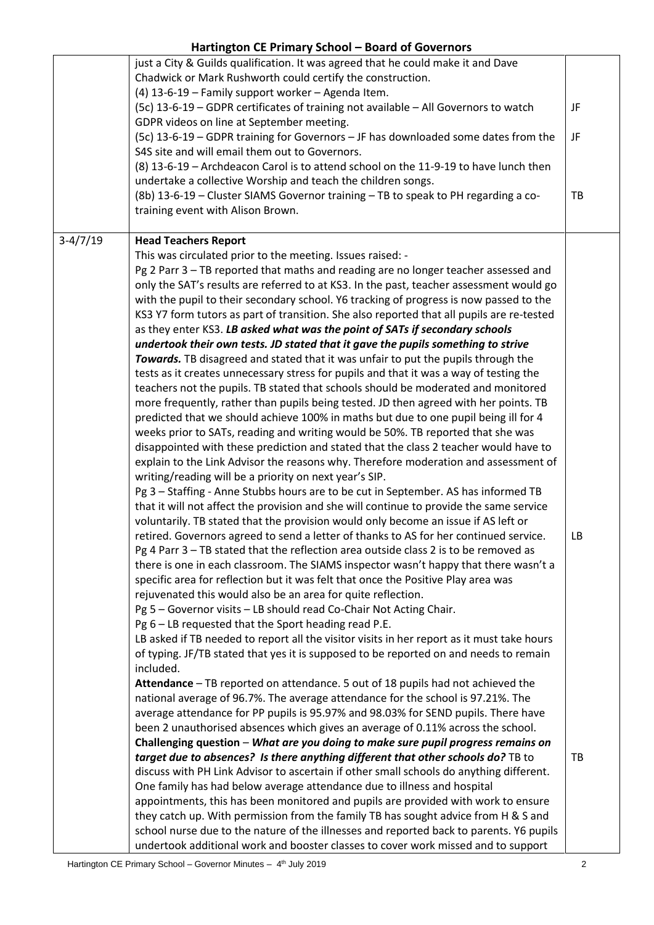|            | just a City & Guilds qualification. It was agreed that he could make it and Dave<br>Chadwick or Mark Rushworth could certify the construction.<br>(4) 13-6-19 - Family support worker - Agenda Item.<br>(5c) 13-6-19 - GDPR certificates of training not available - All Governors to watch | JF |
|------------|---------------------------------------------------------------------------------------------------------------------------------------------------------------------------------------------------------------------------------------------------------------------------------------------|----|
|            | GDPR videos on line at September meeting.<br>(5c) 13-6-19 - GDPR training for Governors - JF has downloaded some dates from the<br>S4S site and will email them out to Governors.                                                                                                           | JF |
|            | (8) 13-6-19 - Archdeacon Carol is to attend school on the 11-9-19 to have lunch then<br>undertake a collective Worship and teach the children songs.                                                                                                                                        |    |
|            | (8b) 13-6-19 - Cluster SIAMS Governor training - TB to speak to PH regarding a co-<br>training event with Alison Brown.                                                                                                                                                                     | TB |
| $3-4/7/19$ | <b>Head Teachers Report</b>                                                                                                                                                                                                                                                                 |    |
|            | This was circulated prior to the meeting. Issues raised: -                                                                                                                                                                                                                                  |    |
|            | Pg 2 Parr 3 - TB reported that maths and reading are no longer teacher assessed and                                                                                                                                                                                                         |    |
|            | only the SAT's results are referred to at KS3. In the past, teacher assessment would go                                                                                                                                                                                                     |    |
|            | with the pupil to their secondary school. Y6 tracking of progress is now passed to the                                                                                                                                                                                                      |    |
|            | KS3 Y7 form tutors as part of transition. She also reported that all pupils are re-tested                                                                                                                                                                                                   |    |
|            | as they enter KS3. LB asked what was the point of SATs if secondary schools                                                                                                                                                                                                                 |    |
|            | undertook their own tests. JD stated that it gave the pupils something to strive                                                                                                                                                                                                            |    |
|            | Towards. TB disagreed and stated that it was unfair to put the pupils through the                                                                                                                                                                                                           |    |
|            | tests as it creates unnecessary stress for pupils and that it was a way of testing the                                                                                                                                                                                                      |    |
|            | teachers not the pupils. TB stated that schools should be moderated and monitored                                                                                                                                                                                                           |    |
|            | more frequently, rather than pupils being tested. JD then agreed with her points. TB                                                                                                                                                                                                        |    |
|            | predicted that we should achieve 100% in maths but due to one pupil being ill for 4                                                                                                                                                                                                         |    |
|            | weeks prior to SATs, reading and writing would be 50%. TB reported that she was                                                                                                                                                                                                             |    |
|            | disappointed with these prediction and stated that the class 2 teacher would have to                                                                                                                                                                                                        |    |
|            | explain to the Link Advisor the reasons why. Therefore moderation and assessment of                                                                                                                                                                                                         |    |
|            | writing/reading will be a priority on next year's SIP.                                                                                                                                                                                                                                      |    |
|            | Pg 3 - Staffing - Anne Stubbs hours are to be cut in September. AS has informed TB                                                                                                                                                                                                          |    |
|            | that it will not affect the provision and she will continue to provide the same service                                                                                                                                                                                                     |    |
|            | voluntarily. TB stated that the provision would only become an issue if AS left or                                                                                                                                                                                                          |    |
|            | retired. Governors agreed to send a letter of thanks to AS for her continued service.                                                                                                                                                                                                       | LB |
|            | Pg 4 Parr 3 - TB stated that the reflection area outside class 2 is to be removed as                                                                                                                                                                                                        |    |
|            | there is one in each classroom. The SIAMS inspector wasn't happy that there wasn't a                                                                                                                                                                                                        |    |
|            | specific area for reflection but it was felt that once the Positive Play area was                                                                                                                                                                                                           |    |
|            | rejuvenated this would also be an area for quite reflection.                                                                                                                                                                                                                                |    |
|            | Pg 5 - Governor visits - LB should read Co-Chair Not Acting Chair.                                                                                                                                                                                                                          |    |
|            | Pg 6 - LB requested that the Sport heading read P.E.                                                                                                                                                                                                                                        |    |
|            | LB asked if TB needed to report all the visitor visits in her report as it must take hours<br>of typing. JF/TB stated that yes it is supposed to be reported on and needs to remain                                                                                                         |    |
|            | included.                                                                                                                                                                                                                                                                                   |    |
|            | Attendance - TB reported on attendance. 5 out of 18 pupils had not achieved the                                                                                                                                                                                                             |    |
|            | national average of 96.7%. The average attendance for the school is 97.21%. The                                                                                                                                                                                                             |    |
|            | average attendance for PP pupils is 95.97% and 98.03% for SEND pupils. There have                                                                                                                                                                                                           |    |
|            | been 2 unauthorised absences which gives an average of 0.11% across the school.                                                                                                                                                                                                             |    |
|            | Challenging question - What are you doing to make sure pupil progress remains on                                                                                                                                                                                                            |    |
|            | target due to absences? Is there anything different that other schools do? TB to                                                                                                                                                                                                            | TB |
|            | discuss with PH Link Advisor to ascertain if other small schools do anything different.                                                                                                                                                                                                     |    |
|            | One family has had below average attendance due to illness and hospital                                                                                                                                                                                                                     |    |
|            | appointments, this has been monitored and pupils are provided with work to ensure                                                                                                                                                                                                           |    |
|            | they catch up. With permission from the family TB has sought advice from H & S and                                                                                                                                                                                                          |    |
|            | school nurse due to the nature of the illnesses and reported back to parents. Y6 pupils                                                                                                                                                                                                     |    |
|            | undertook additional work and booster classes to cover work missed and to support                                                                                                                                                                                                           |    |
|            |                                                                                                                                                                                                                                                                                             |    |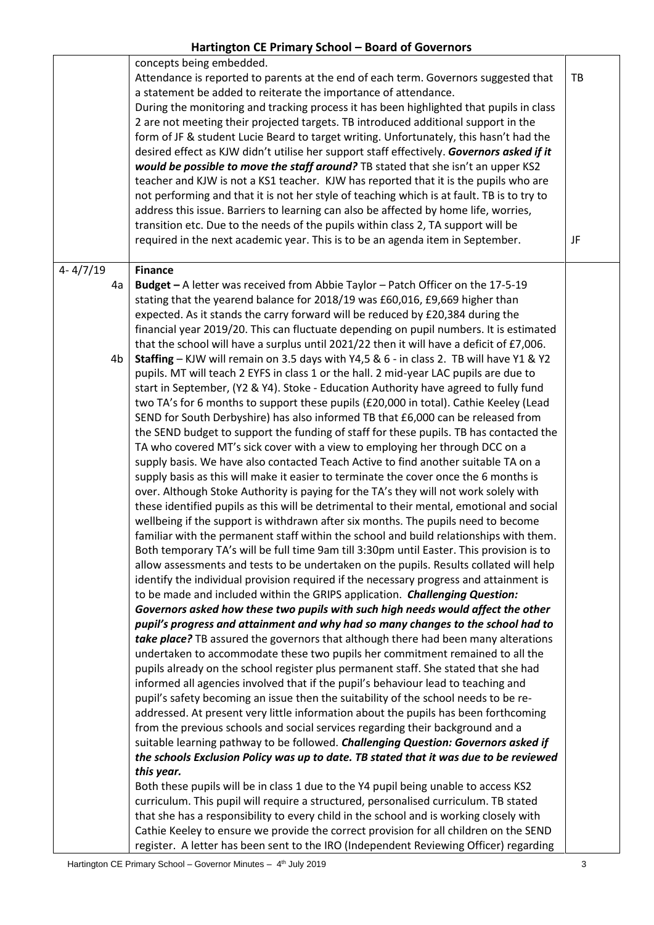|              |    | concepts being embedded.<br>Attendance is reported to parents at the end of each term. Governors suggested that<br>a statement be added to reiterate the importance of attendance.<br>During the monitoring and tracking process it has been highlighted that pupils in class                                                                                  | TB |
|--------------|----|----------------------------------------------------------------------------------------------------------------------------------------------------------------------------------------------------------------------------------------------------------------------------------------------------------------------------------------------------------------|----|
|              |    | 2 are not meeting their projected targets. TB introduced additional support in the<br>form of JF & student Lucie Beard to target writing. Unfortunately, this hasn't had the<br>desired effect as KJW didn't utilise her support staff effectively. Governors asked if it<br>would be possible to move the staff around? TB stated that she isn't an upper KS2 |    |
|              |    | teacher and KJW is not a KS1 teacher. KJW has reported that it is the pupils who are<br>not performing and that it is not her style of teaching which is at fault. TB is to try to<br>address this issue. Barriers to learning can also be affected by home life, worries,                                                                                     |    |
|              |    | transition etc. Due to the needs of the pupils within class 2, TA support will be<br>required in the next academic year. This is to be an agenda item in September.                                                                                                                                                                                            | JF |
| $4 - 4/7/19$ |    | <b>Finance</b>                                                                                                                                                                                                                                                                                                                                                 |    |
|              | 4a | Budget - A letter was received from Abbie Taylor - Patch Officer on the 17-5-19                                                                                                                                                                                                                                                                                |    |
|              |    | stating that the yearend balance for 2018/19 was £60,016, £9,669 higher than                                                                                                                                                                                                                                                                                   |    |
|              |    | expected. As it stands the carry forward will be reduced by £20,384 during the                                                                                                                                                                                                                                                                                 |    |
|              |    | financial year 2019/20. This can fluctuate depending on pupil numbers. It is estimated<br>that the school will have a surplus until 2021/22 then it will have a deficit of £7,006.                                                                                                                                                                             |    |
|              | 4b | Staffing - KJW will remain on 3.5 days with Y4,5 & 6 - in class 2. TB will have Y1 & Y2                                                                                                                                                                                                                                                                        |    |
|              |    | pupils. MT will teach 2 EYFS in class 1 or the hall. 2 mid-year LAC pupils are due to                                                                                                                                                                                                                                                                          |    |
|              |    | start in September, (Y2 & Y4). Stoke - Education Authority have agreed to fully fund                                                                                                                                                                                                                                                                           |    |
|              |    | two TA's for 6 months to support these pupils (£20,000 in total). Cathie Keeley (Lead                                                                                                                                                                                                                                                                          |    |
|              |    | SEND for South Derbyshire) has also informed TB that £6,000 can be released from                                                                                                                                                                                                                                                                               |    |
|              |    | the SEND budget to support the funding of staff for these pupils. TB has contacted the                                                                                                                                                                                                                                                                         |    |
|              |    | TA who covered MT's sick cover with a view to employing her through DCC on a                                                                                                                                                                                                                                                                                   |    |
|              |    | supply basis. We have also contacted Teach Active to find another suitable TA on a                                                                                                                                                                                                                                                                             |    |
|              |    | supply basis as this will make it easier to terminate the cover once the 6 months is                                                                                                                                                                                                                                                                           |    |
|              |    | over. Although Stoke Authority is paying for the TA's they will not work solely with<br>these identified pupils as this will be detrimental to their mental, emotional and social                                                                                                                                                                              |    |
|              |    | wellbeing if the support is withdrawn after six months. The pupils need to become                                                                                                                                                                                                                                                                              |    |
|              |    | familiar with the permanent staff within the school and build relationships with them.                                                                                                                                                                                                                                                                         |    |
|              |    | Both temporary TA's will be full time 9am till 3:30pm until Easter. This provision is to                                                                                                                                                                                                                                                                       |    |
|              |    | allow assessments and tests to be undertaken on the pupils. Results collated will help                                                                                                                                                                                                                                                                         |    |
|              |    | identify the individual provision required if the necessary progress and attainment is                                                                                                                                                                                                                                                                         |    |
|              |    | to be made and included within the GRIPS application. Challenging Question:                                                                                                                                                                                                                                                                                    |    |
|              |    | Governors asked how these two pupils with such high needs would affect the other                                                                                                                                                                                                                                                                               |    |
|              |    | pupil's progress and attainment and why had so many changes to the school had to                                                                                                                                                                                                                                                                               |    |
|              |    | take place? TB assured the governors that although there had been many alterations                                                                                                                                                                                                                                                                             |    |
|              |    | undertaken to accommodate these two pupils her commitment remained to all the                                                                                                                                                                                                                                                                                  |    |
|              |    | pupils already on the school register plus permanent staff. She stated that she had                                                                                                                                                                                                                                                                            |    |
|              |    | informed all agencies involved that if the pupil's behaviour lead to teaching and                                                                                                                                                                                                                                                                              |    |
|              |    | pupil's safety becoming an issue then the suitability of the school needs to be re-<br>addressed. At present very little information about the pupils has been forthcoming                                                                                                                                                                                     |    |
|              |    | from the previous schools and social services regarding their background and a                                                                                                                                                                                                                                                                                 |    |
|              |    | suitable learning pathway to be followed. Challenging Question: Governors asked if                                                                                                                                                                                                                                                                             |    |
|              |    | the schools Exclusion Policy was up to date. TB stated that it was due to be reviewed                                                                                                                                                                                                                                                                          |    |
|              |    | this year.                                                                                                                                                                                                                                                                                                                                                     |    |
|              |    | Both these pupils will be in class 1 due to the Y4 pupil being unable to access KS2                                                                                                                                                                                                                                                                            |    |
|              |    | curriculum. This pupil will require a structured, personalised curriculum. TB stated                                                                                                                                                                                                                                                                           |    |
|              |    | that she has a responsibility to every child in the school and is working closely with                                                                                                                                                                                                                                                                         |    |
|              |    | Cathie Keeley to ensure we provide the correct provision for all children on the SEND                                                                                                                                                                                                                                                                          |    |
|              |    | register. A letter has been sent to the IRO (Independent Reviewing Officer) regarding                                                                                                                                                                                                                                                                          |    |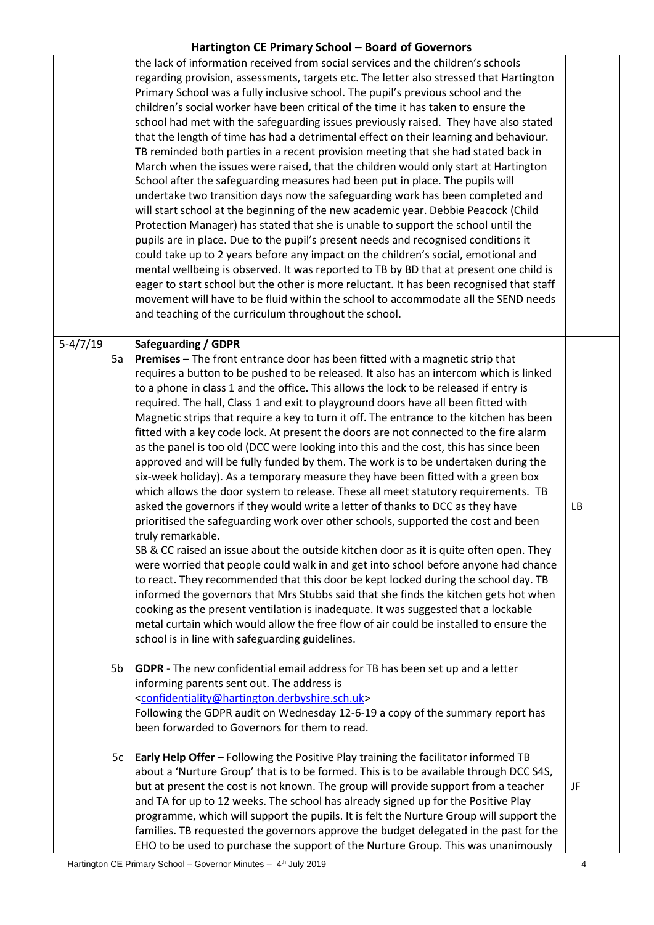|                  | the lack of information received from social services and the children's schools<br>regarding provision, assessments, targets etc. The letter also stressed that Hartington<br>Primary School was a fully inclusive school. The pupil's previous school and the<br>children's social worker have been critical of the time it has taken to ensure the<br>school had met with the safeguarding issues previously raised. They have also stated<br>that the length of time has had a detrimental effect on their learning and behaviour.<br>TB reminded both parties in a recent provision meeting that she had stated back in<br>March when the issues were raised, that the children would only start at Hartington<br>School after the safeguarding measures had been put in place. The pupils will<br>undertake two transition days now the safeguarding work has been completed and<br>will start school at the beginning of the new academic year. Debbie Peacock (Child<br>Protection Manager) has stated that she is unable to support the school until the<br>pupils are in place. Due to the pupil's present needs and recognised conditions it<br>could take up to 2 years before any impact on the children's social, emotional and<br>mental wellbeing is observed. It was reported to TB by BD that at present one child is<br>eager to start school but the other is more reluctant. It has been recognised that staff<br>movement will have to be fluid within the school to accommodate all the SEND needs<br>and teaching of the curriculum throughout the school.                                                                                                                                             |    |
|------------------|--------------------------------------------------------------------------------------------------------------------------------------------------------------------------------------------------------------------------------------------------------------------------------------------------------------------------------------------------------------------------------------------------------------------------------------------------------------------------------------------------------------------------------------------------------------------------------------------------------------------------------------------------------------------------------------------------------------------------------------------------------------------------------------------------------------------------------------------------------------------------------------------------------------------------------------------------------------------------------------------------------------------------------------------------------------------------------------------------------------------------------------------------------------------------------------------------------------------------------------------------------------------------------------------------------------------------------------------------------------------------------------------------------------------------------------------------------------------------------------------------------------------------------------------------------------------------------------------------------------------------------------------------------------------------------------------------------------------------------|----|
| $5-4/7/19$<br>5a | <b>Safeguarding / GDPR</b><br>Premises - The front entrance door has been fitted with a magnetic strip that<br>requires a button to be pushed to be released. It also has an intercom which is linked<br>to a phone in class 1 and the office. This allows the lock to be released if entry is<br>required. The hall, Class 1 and exit to playground doors have all been fitted with<br>Magnetic strips that require a key to turn it off. The entrance to the kitchen has been<br>fitted with a key code lock. At present the doors are not connected to the fire alarm<br>as the panel is too old (DCC were looking into this and the cost, this has since been<br>approved and will be fully funded by them. The work is to be undertaken during the<br>six-week holiday). As a temporary measure they have been fitted with a green box<br>which allows the door system to release. These all meet statutory requirements. TB<br>asked the governors if they would write a letter of thanks to DCC as they have<br>prioritised the safeguarding work over other schools, supported the cost and been<br>truly remarkable.<br>SB & CC raised an issue about the outside kitchen door as it is quite often open. They<br>were worried that people could walk in and get into school before anyone had chance<br>to react. They recommended that this door be kept locked during the school day. TB<br>informed the governors that Mrs Stubbs said that she finds the kitchen gets hot when<br>cooking as the present ventilation is inadequate. It was suggested that a lockable<br>metal curtain which would allow the free flow of air could be installed to ensure the<br>school is in line with safeguarding guidelines. | LB |
| 5b               | GDPR - The new confidential email address for TB has been set up and a letter<br>informing parents sent out. The address is<br><confidentiality@hartington.derbyshire.sch.uk><br/>Following the GDPR audit on Wednesday 12-6-19 a copy of the summary report has<br/>been forwarded to Governors for them to read.</confidentiality@hartington.derbyshire.sch.uk>                                                                                                                                                                                                                                                                                                                                                                                                                                                                                                                                                                                                                                                                                                                                                                                                                                                                                                                                                                                                                                                                                                                                                                                                                                                                                                                                                              |    |
| 5c               | Early Help Offer - Following the Positive Play training the facilitator informed TB<br>about a 'Nurture Group' that is to be formed. This is to be available through DCC S4S,<br>but at present the cost is not known. The group will provide support from a teacher<br>and TA for up to 12 weeks. The school has already signed up for the Positive Play<br>programme, which will support the pupils. It is felt the Nurture Group will support the<br>families. TB requested the governors approve the budget delegated in the past for the<br>EHO to be used to purchase the support of the Nurture Group. This was unanimously                                                                                                                                                                                                                                                                                                                                                                                                                                                                                                                                                                                                                                                                                                                                                                                                                                                                                                                                                                                                                                                                                             | JF |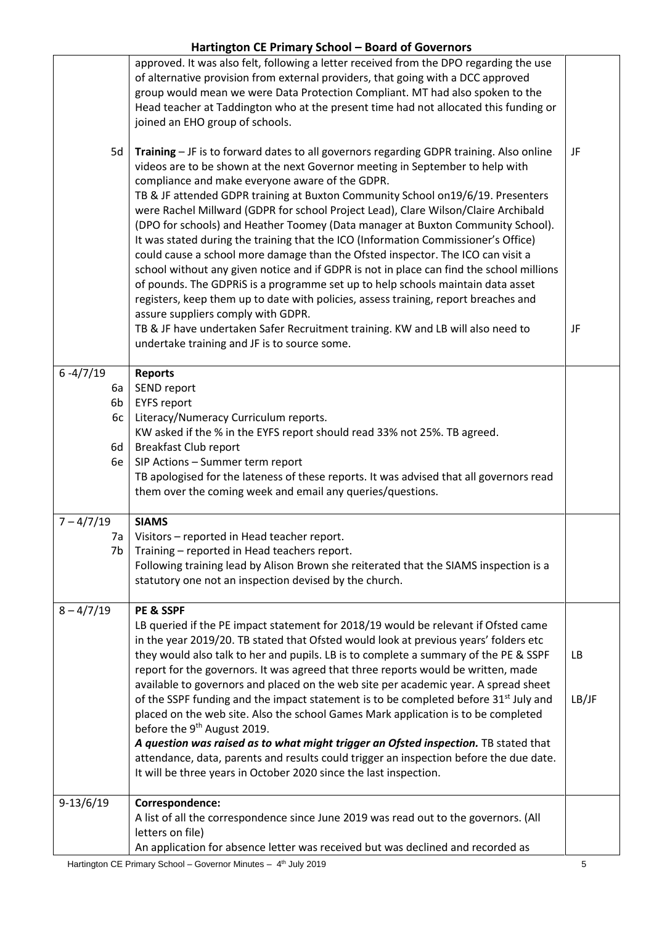|                                            | approved. It was also felt, following a letter received from the DPO regarding the use<br>of alternative provision from external providers, that going with a DCC approved<br>group would mean we were Data Protection Compliant. MT had also spoken to the<br>Head teacher at Taddington who at the present time had not allocated this funding or<br>joined an EHO group of schools.                                                                                                                                                                                                                                                                                                                                                                                                                                                                                                                                                                                                                                                                          |              |
|--------------------------------------------|-----------------------------------------------------------------------------------------------------------------------------------------------------------------------------------------------------------------------------------------------------------------------------------------------------------------------------------------------------------------------------------------------------------------------------------------------------------------------------------------------------------------------------------------------------------------------------------------------------------------------------------------------------------------------------------------------------------------------------------------------------------------------------------------------------------------------------------------------------------------------------------------------------------------------------------------------------------------------------------------------------------------------------------------------------------------|--------------|
| 5d                                         | Training - JF is to forward dates to all governors regarding GDPR training. Also online<br>videos are to be shown at the next Governor meeting in September to help with<br>compliance and make everyone aware of the GDPR.<br>TB & JF attended GDPR training at Buxton Community School on19/6/19. Presenters<br>were Rachel Millward (GDPR for school Project Lead), Clare Wilson/Claire Archibald<br>(DPO for schools) and Heather Toomey (Data manager at Buxton Community School).<br>It was stated during the training that the ICO (Information Commissioner's Office)<br>could cause a school more damage than the Ofsted inspector. The ICO can visit a<br>school without any given notice and if GDPR is not in place can find the school millions<br>of pounds. The GDPRIS is a programme set up to help schools maintain data asset<br>registers, keep them up to date with policies, assess training, report breaches and<br>assure suppliers comply with GDPR.<br>TB & JF have undertaken Safer Recruitment training. KW and LB will also need to | JF<br>JF     |
|                                            | undertake training and JF is to source some.                                                                                                                                                                                                                                                                                                                                                                                                                                                                                                                                                                                                                                                                                                                                                                                                                                                                                                                                                                                                                    |              |
| $6 - 4/7/19$<br>6а<br>6b<br>6c<br>6d<br>6e | <b>Reports</b><br>SEND report<br><b>EYFS report</b><br>Literacy/Numeracy Curriculum reports.<br>KW asked if the % in the EYFS report should read 33% not 25%. TB agreed.<br><b>Breakfast Club report</b><br>SIP Actions - Summer term report<br>TB apologised for the lateness of these reports. It was advised that all governors read<br>them over the coming week and email any queries/questions.                                                                                                                                                                                                                                                                                                                                                                                                                                                                                                                                                                                                                                                           |              |
| $7 - 4/7/19$<br>7a<br>7b                   | <b>SIAMS</b><br>Visitors - reported in Head teacher report.<br>Training - reported in Head teachers report.<br>Following training lead by Alison Brown she reiterated that the SIAMS inspection is a<br>statutory one not an inspection devised by the church.                                                                                                                                                                                                                                                                                                                                                                                                                                                                                                                                                                                                                                                                                                                                                                                                  |              |
| $8 - \frac{4}{7}$ 19                       | PE & SSPF<br>LB queried if the PE impact statement for 2018/19 would be relevant if Ofsted came<br>in the year 2019/20. TB stated that Ofsted would look at previous years' folders etc<br>they would also talk to her and pupils. LB is to complete a summary of the PE & SSPF<br>report for the governors. It was agreed that three reports would be written, made<br>available to governors and placed on the web site per academic year. A spread sheet<br>of the SSPF funding and the impact statement is to be completed before 31 <sup>st</sup> July and<br>placed on the web site. Also the school Games Mark application is to be completed<br>before the 9 <sup>th</sup> August 2019.<br>A question was raised as to what might trigger an Ofsted inspection. TB stated that<br>attendance, data, parents and results could trigger an inspection before the due date.<br>It will be three years in October 2020 since the last inspection.                                                                                                           | LB.<br>LB/JF |
| $9-13/6/19$                                | Correspondence:<br>A list of all the correspondence since June 2019 was read out to the governors. (All<br>letters on file)<br>An application for absence letter was received but was declined and recorded as                                                                                                                                                                                                                                                                                                                                                                                                                                                                                                                                                                                                                                                                                                                                                                                                                                                  |              |